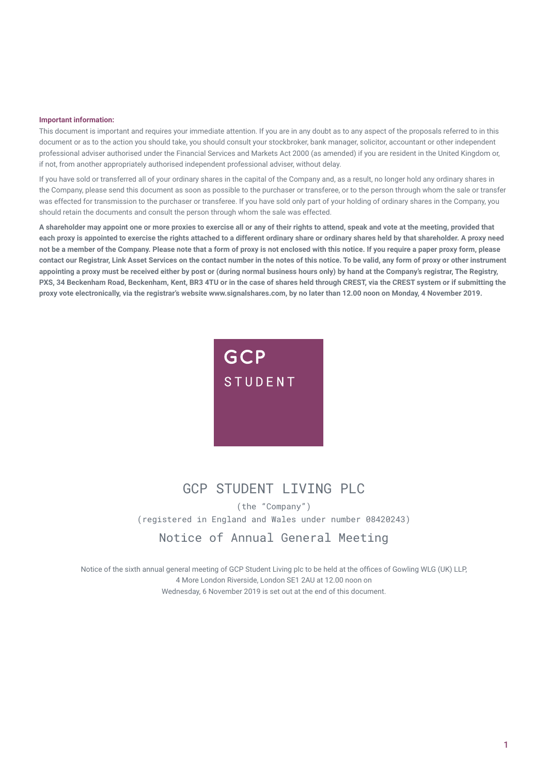#### **Important information:**

This document is important and requires your immediate attention. If you are in any doubt as to any aspect of the proposals referred to in this document or as to the action you should take, you should consult your stockbroker, bank manager, solicitor, accountant or other independent professional adviser authorised under the Financial Services and Markets Act 2000 (as amended) if you are resident in the United Kingdom or, if not, from another appropriately authorised independent professional adviser, without delay.

If you have sold or transferred all of your ordinary shares in the capital of the Company and, as a result, no longer hold any ordinary shares in the Company, please send this document as soon as possible to the purchaser or transferee, or to the person through whom the sale or transfer was effected for transmission to the purchaser or transferee. If you have sold only part of your holding of ordinary shares in the Company, you should retain the documents and consult the person through whom the sale was effected.

**A shareholder may appoint one or more proxies to exercise all or any of their rights to attend, speak and vote at the meeting, provided that**  each proxy is appointed to exercise the rights attached to a different ordinary share or ordinary shares held by that shareholder. A proxy need **not be a member of the Company. Please note that a form of proxy is not enclosed with this notice. If you require a paper proxy form, please contact our Registrar, Link Asset Services on the contact number in the notes of this notice. To be valid, any form of proxy or other instrument appointing a proxy must be received either by post or (during normal business hours only) by hand at the Company's registrar, The Registry, PXS, 34 Beckenham Road, Beckenham, Kent, BR3 4TU or in the case of shares held through CREST, via the CREST system or if submitting the proxy vote electronically, via the registrar's website www.signalshares.com, by no later than 12.00 noon on Monday, 4 November 2019.** 



# GCP STUDENT I TVTNG PLC

(the "Company") (registered in England and Wales under number 08420243)

Notice of Annual General Meeting

Notice of the sixth annual general meeting of GCP Student Living plc to be held at the offices of Gowling WLG (UK) LLP, 4 More London Riverside, London SE1 2AU at 12.00 noon on Wednesday, 6 November 2019 is set out at the end of this document.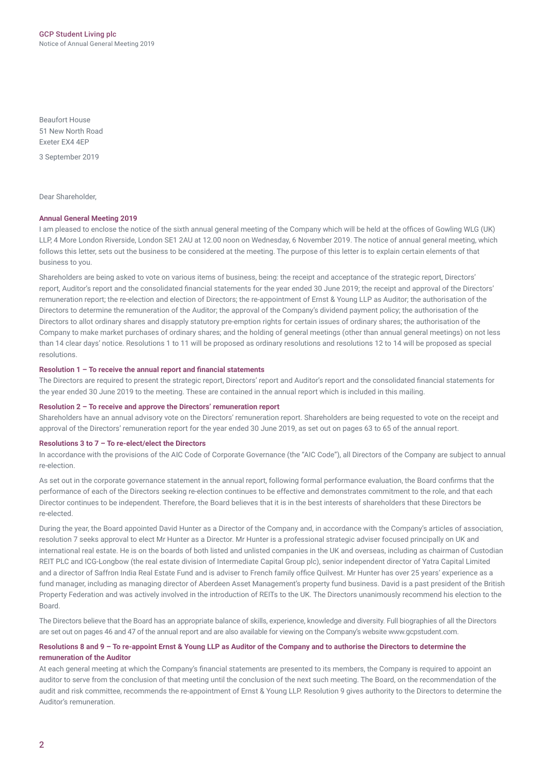Beaufort House 51 New North Road Exeter EX4 4EP

3 September 2019

Dear Shareholder,

### **Annual General Meeting 2019**

I am pleased to enclose the notice of the sixth annual general meeting of the Company which will be held at the offices of Gowling WLG (UK) LLP, 4 More London Riverside, London SE1 2AU at 12.00 noon on Wednesday, 6 November 2019. The notice of annual general meeting, which follows this letter, sets out the business to be considered at the meeting. The purpose of this letter is to explain certain elements of that business to you.

Shareholders are being asked to vote on various items of business, being: the receipt and acceptance of the strategic report, Directors' report, Auditor's report and the consolidated financial statements for the year ended 30 June 2019; the receipt and approval of the Directors' remuneration report; the re-election and election of Directors; the re‑appointment of Ernst & Young LLP as Auditor; the authorisation of the Directors to determine the remuneration of the Auditor; the approval of the Company's dividend payment policy; the authorisation of the Directors to allot ordinary shares and disapply statutory pre‑emption rights for certain issues of ordinary shares; the authorisation of the Company to make market purchases of ordinary shares; and the holding of general meetings (other than annual general meetings) on not less than 14 clear days' notice. Resolutions 1 to 11 will be proposed as ordinary resolutions and resolutions 12 to 14 will be proposed as special resolutions.

### **Resolution 1 – To receive the annual report and financial statements**

The Directors are required to present the strategic report, Directors' report and Auditor's report and the consolidated financial statements for the year ended 30 June 2019 to the meeting. These are contained in the annual report which is included in this mailing.

#### **Resolution 2 – To receive and approve the Directors' remuneration report**

Shareholders have an annual advisory vote on the Directors' remuneration report. Shareholders are being requested to vote on the receipt and approval of the Directors' remuneration report for the year ended 30 June 2019, as set out on pages 63 to 65 of the annual report.

#### **Resolutions 3 to 7 – To re‑elect/elect the Directors**

In accordance with the provisions of the AIC Code of Corporate Governance (the "AIC Code"), all Directors of the Company are subject to annual re-election.

As set out in the corporate governance statement in the annual report, following formal performance evaluation, the Board confirms that the performance of each of the Directors seeking re-election continues to be effective and demonstrates commitment to the role, and that each Director continues to be independent. Therefore, the Board believes that it is in the best interests of shareholders that these Directors be re‑elected.

During the year, the Board appointed David Hunter as a Director of the Company and, in accordance with the Company's articles of association, resolution 7 seeks approval to elect Mr Hunter as a Director. Mr Hunter is a professional strategic adviser focused principally on UK and international real estate. He is on the boards of both listed and unlisted companies in the UK and overseas, including as chairman of Custodian REIT PLC and ICG-Longbow (the real estate division of Intermediate Capital Group plc), senior independent director of Yatra Capital Limited and a director of Saffron India Real Estate Fund and is adviser to French family office Quilvest. Mr Hunter has over 25 years' experience as a fund manager, including as managing director of Aberdeen Asset Management's property fund business. David is a past president of the British Property Federation and was actively involved in the introduction of REITs to the UK. The Directors unanimously recommend his election to the Board.

The Directors believe that the Board has an appropriate balance of skills, experience, knowledge and diversity. Full biographies of all the Directors are set out on pages 46 and 47 of the annual report and are also available for viewing on the Company's website www.gcpstudent.com.

## **Resolutions 8 and 9 – To re-appoint Ernst & Young LLP as Auditor of the Company and to authorise the Directors to determine the remuneration of the Auditor**

At each general meeting at which the Company's financial statements are presented to its members, the Company is required to appoint an auditor to serve from the conclusion of that meeting until the conclusion of the next such meeting. The Board, on the recommendation of the audit and risk committee, recommends the re‑appointment of Ernst & Young LLP. Resolution 9 gives authority to the Directors to determine the Auditor's remuneration.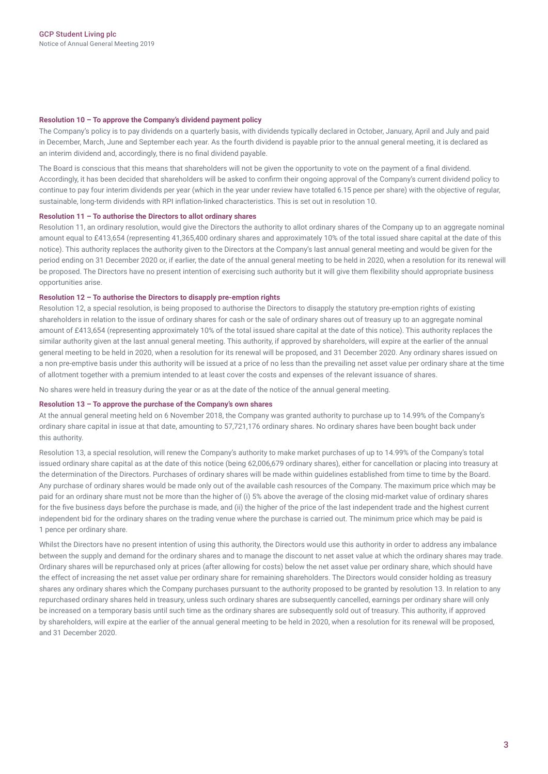#### **Resolution 10 – To approve the Company's dividend payment policy**

The Company's policy is to pay dividends on a quarterly basis, with dividends typically declared in October, January, April and July and paid in December, March, June and September each year. As the fourth dividend is payable prior to the annual general meeting, it is declared as an interim dividend and, accordingly, there is no final dividend payable.

The Board is conscious that this means that shareholders will not be given the opportunity to vote on the payment of a final dividend. Accordingly, it has been decided that shareholders will be asked to confirm their ongoing approval of the Company's current dividend policy to continue to pay four interim dividends per year (which in the year under review have totalled 6.15 pence per share) with the objective of regular, sustainable, long-term dividends with RPI inflation-linked characteristics. This is set out in resolution 10.

### **Resolution 11 – To authorise the Directors to allot ordinary shares**

Resolution 11, an ordinary resolution, would give the Directors the authority to allot ordinary shares of the Company up to an aggregate nominal amount equal to £413,654 (representing 41,365,400 ordinary shares and approximately 10% of the total issued share capital at the date of this notice). This authority replaces the authority given to the Directors at the Company's last annual general meeting and would be given for the period ending on 31 December 2020 or, if earlier, the date of the annual general meeting to be held in 2020, when a resolution for its renewal will be proposed. The Directors have no present intention of exercising such authority but it will give them flexibility should appropriate business opportunities arise.

### **Resolution 12 – To authorise the Directors to disapply pre‑emption rights**

Resolution 12, a special resolution, is being proposed to authorise the Directors to disapply the statutory pre-emption rights of existing shareholders in relation to the issue of ordinary shares for cash or the sale of ordinary shares out of treasury up to an aggregate nominal amount of £413,654 (representing approximately 10% of the total issued share capital at the date of this notice). This authority replaces the similar authority given at the last annual general meeting. This authority, if approved by shareholders, will expire at the earlier of the annual general meeting to be held in 2020, when a resolution for its renewal will be proposed, and 31 December 2020. Any ordinary shares issued on a non pre-emptive basis under this authority will be issued at a price of no less than the prevailing net asset value per ordinary share at the time of allotment together with a premium intended to at least cover the costs and expenses of the relevant issuance of shares.

No shares were held in treasury during the year or as at the date of the notice of the annual general meeting.

#### **Resolution 13 – To approve the purchase of the Company's own shares**

At the annual general meeting held on 6 November 2018, the Company was granted authority to purchase up to 14.99% of the Company's ordinary share capital in issue at that date, amounting to 57,721,176 ordinary shares. No ordinary shares have been bought back under this authority.

Resolution 13, a special resolution, will renew the Company's authority to make market purchases of up to 14.99% of the Company's total issued ordinary share capital as at the date of this notice (being 62,006,679 ordinary shares), either for cancellation or placing into treasury at the determination of the Directors. Purchases of ordinary shares will be made within guidelines established from time to time by the Board. Any purchase of ordinary shares would be made only out of the available cash resources of the Company. The maximum price which may be paid for an ordinary share must not be more than the higher of (i) 5% above the average of the closing mid-market value of ordinary shares for the five business days before the purchase is made, and (ii) the higher of the price of the last independent trade and the highest current independent bid for the ordinary shares on the trading venue where the purchase is carried out. The minimum price which may be paid is 1 pence per ordinary share.

Whilst the Directors have no present intention of using this authority, the Directors would use this authority in order to address any imbalance between the supply and demand for the ordinary shares and to manage the discount to net asset value at which the ordinary shares may trade. Ordinary shares will be repurchased only at prices (after allowing for costs) below the net asset value per ordinary share, which should have the effect of increasing the net asset value per ordinary share for remaining shareholders. The Directors would consider holding as treasury shares any ordinary shares which the Company purchases pursuant to the authority proposed to be granted by resolution 13. In relation to any repurchased ordinary shares held in treasury, unless such ordinary shares are subsequently cancelled, earnings per ordinary share will only be increased on a temporary basis until such time as the ordinary shares are subsequently sold out of treasury. This authority, if approved by shareholders, will expire at the earlier of the annual general meeting to be held in 2020, when a resolution for its renewal will be proposed, and 31 December 2020.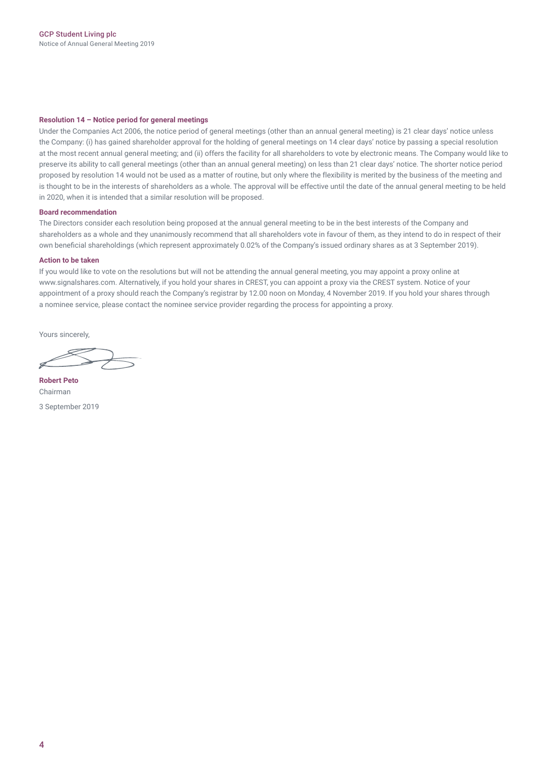#### **Resolution 14 – Notice period for general meetings**

Under the Companies Act 2006, the notice period of general meetings (other than an annual general meeting) is 21 clear days' notice unless the Company: (i) has gained shareholder approval for the holding of general meetings on 14 clear days' notice by passing a special resolution at the most recent annual general meeting; and (ii) offers the facility for all shareholders to vote by electronic means. The Company would like to preserve its ability to call general meetings (other than an annual general meeting) on less than 21 clear days' notice. The shorter notice period proposed by resolution 14 would not be used as a matter of routine, but only where the flexibility is merited by the business of the meeting and is thought to be in the interests of shareholders as a whole. The approval will be effective until the date of the annual general meeting to be held in 2020, when it is intended that a similar resolution will be proposed.

### **Board recommendation**

The Directors consider each resolution being proposed at the annual general meeting to be in the best interests of the Company and shareholders as a whole and they unanimously recommend that all shareholders vote in favour of them, as they intend to do in respect of their own beneficial shareholdings (which represent approximately 0.02% of the Company's issued ordinary shares as at 3 September 2019).

### **Action to be taken**

If you would like to vote on the resolutions but will not be attending the annual general meeting, you may appoint a proxy online at www.signalshares.com. Alternatively, if you hold your shares in CREST, you can appoint a proxy via the CREST system. Notice of your appointment of a proxy should reach the Company's registrar by 12.00 noon on Monday, 4 November 2019. If you hold your shares through a nominee service, please contact the nominee service provider regarding the process for appointing a proxy.

Yours sincerely,

**Robert Peto** Chairman 3 September 2019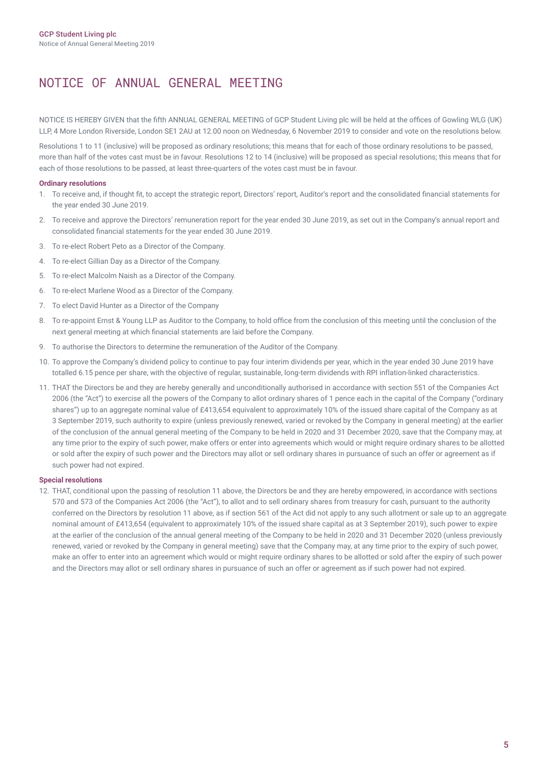# NOTICE OF ANNUAL GENERAL MEETING

NOTICE IS HEREBY GIVEN that the fifth ANNUAL GENERAL MEETING of GCP Student Living plc will be held at the offices of Gowling WLG (UK) LLP, 4 More London Riverside, London SE1 2AU at 12.00 noon on Wednesday, 6 November 2019 to consider and vote on the resolutions below.

Resolutions 1 to 11 (inclusive) will be proposed as ordinary resolutions; this means that for each of those ordinary resolutions to be passed, more than half of the votes cast must be in favour. Resolutions 12 to 14 (inclusive) will be proposed as special resolutions; this means that for each of those resolutions to be passed, at least three‑quarters of the votes cast must be in favour.

## **Ordinary resolutions**

- 1. To receive and, if thought fit, to accept the strategic report, Directors' report, Auditor's report and the consolidated financial statements for the year ended 30 June 2019.
- 2. To receive and approve the Directors' remuneration report for the year ended 30 June 2019, as set out in the Company's annual report and consolidated financial statements for the year ended 30 June 2019.
- 3. To re‑elect Robert Peto as a Director of the Company.
- 4. To re-elect Gillian Day as a Director of the Company.
- 5. To re‑elect Malcolm Naish as a Director of the Company.
- 6. To re‑elect Marlene Wood as a Director of the Company.
- 7. To elect David Hunter as a Director of the Company
- 8. To re-appoint Ernst & Young LLP as Auditor to the Company, to hold office from the conclusion of this meeting until the conclusion of the next general meeting at which financial statements are laid before the Company.
- 9. To authorise the Directors to determine the remuneration of the Auditor of the Company.
- 10. To approve the Company's dividend policy to continue to pay four interim dividends per year, which in the year ended 30 June 2019 have totalled 6.15 pence per share, with the objective of regular, sustainable, long-term dividends with RPI inflation-linked characteristics.
- 11. THAT the Directors be and they are hereby generally and unconditionally authorised in accordance with section 551 of the Companies Act 2006 (the "Act") to exercise all the powers of the Company to allot ordinary shares of 1 pence each in the capital of the Company ("ordinary shares") up to an aggregate nominal value of £413,654 equivalent to approximately 10% of the issued share capital of the Company as at 3 September 2019, such authority to expire (unless previously renewed, varied or revoked by the Company in general meeting) at the earlier of the conclusion of the annual general meeting of the Company to be held in 2020 and 31 December 2020, save that the Company may, at any time prior to the expiry of such power, make offers or enter into agreements which would or might require ordinary shares to be allotted or sold after the expiry of such power and the Directors may allot or sell ordinary shares in pursuance of such an offer or agreement as if such power had not expired.

## **Special resolutions**

12. THAT, conditional upon the passing of resolution 11 above, the Directors be and they are hereby empowered, in accordance with sections 570 and 573 of the Companies Act 2006 (the "Act"), to allot and to sell ordinary shares from treasury for cash, pursuant to the authority conferred on the Directors by resolution 11 above, as if section 561 of the Act did not apply to any such allotment or sale up to an aggregate nominal amount of £413,654 (equivalent to approximately 10% of the issued share capital as at 3 September 2019), such power to expire at the earlier of the conclusion of the annual general meeting of the Company to be held in 2020 and 31 December 2020 (unless previously renewed, varied or revoked by the Company in general meeting) save that the Company may, at any time prior to the expiry of such power, make an offer to enter into an agreement which would or might require ordinary shares to be allotted or sold after the expiry of such power and the Directors may allot or sell ordinary shares in pursuance of such an offer or agreement as if such power had not expired.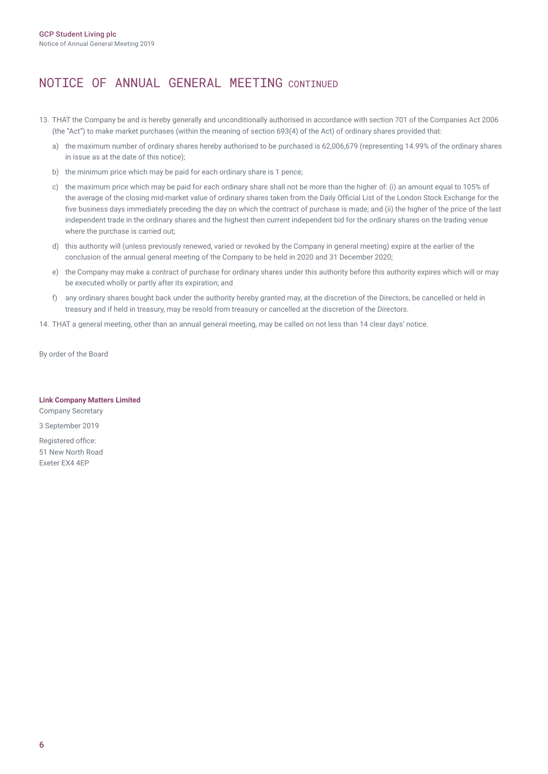## NOTICE OF ANNUAL GENERAL MEETING CONTINUED

- 13. THAT the Company be and is hereby generally and unconditionally authorised in accordance with section 701 of the Companies Act 2006 (the "Act") to make market purchases (within the meaning of section 693(4) of the Act) of ordinary shares provided that:
	- a) the maximum number of ordinary shares hereby authorised to be purchased is 62,006,679 (representing 14.99% of the ordinary shares in issue as at the date of this notice);
	- b) the minimum price which may be paid for each ordinary share is 1 pence;
	- c) the maximum price which may be paid for each ordinary share shall not be more than the higher of: (i) an amount equal to 105% of the average of the closing mid-market value of ordinary shares taken from the Daily Official List of the London Stock Exchange for the five business days immediately preceding the day on which the contract of purchase is made; and (ii) the higher of the price of the last independent trade in the ordinary shares and the highest then current independent bid for the ordinary shares on the trading venue where the purchase is carried out;
	- d) this authority will (unless previously renewed, varied or revoked by the Company in general meeting) expire at the earlier of the conclusion of the annual general meeting of the Company to be held in 2020 and 31 December 2020;
	- e) the Company may make a contract of purchase for ordinary shares under this authority before this authority expires which will or may be executed wholly or partly after its expiration; and
	- f) any ordinary shares bought back under the authority hereby granted may, at the discretion of the Directors, be cancelled or held in treasury and if held in treasury, may be resold from treasury or cancelled at the discretion of the Directors.
- 14. THAT a general meeting, other than an annual general meeting, may be called on not less than 14 clear days' notice.

By order of the Board

### **Link Company Matters Limited**

Company Secretary

3 September 2019

Registered office: 51 New North Road Exeter EX4 4EP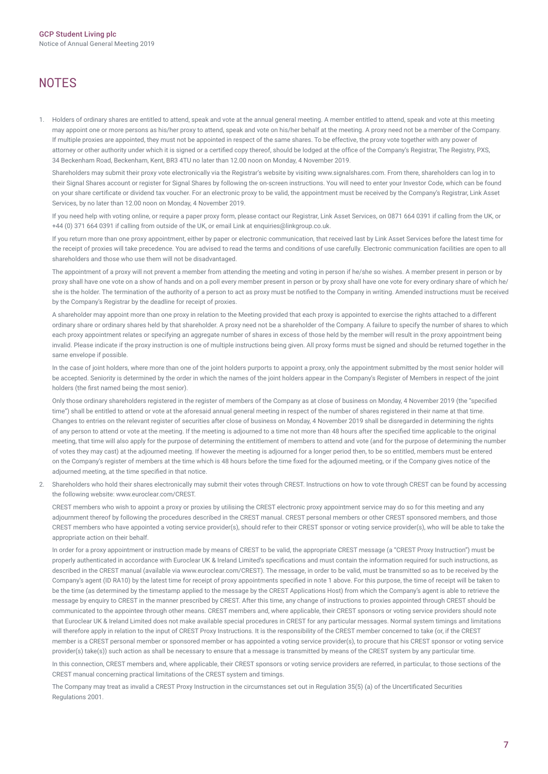# **NOTES**

1. Holders of ordinary shares are entitled to attend, speak and vote at the annual general meeting. A member entitled to attend, speak and vote at this meeting may appoint one or more persons as his/her proxy to attend, speak and vote on his/her behalf at the meeting. A proxy need not be a member of the Company. If multiple proxies are appointed, they must not be appointed in respect of the same shares. To be effective, the proxy vote together with any power of attorney or other authority under which it is signed or a certified copy thereof, should be lodged at the office of the Company's Registrar, The Registry, PXS, 34 Beckenham Road, Beckenham, Kent, BR3 4TU no later than 12.00 noon on Monday, 4 November 2019.

Shareholders may submit their proxy vote electronically via the Registrar's website by visiting www.signalshares.com. From there, shareholders can log in to their Signal Shares account or register for Signal Shares by following the on-screen instructions. You will need to enter your Investor Code, which can be found on your share certificate or dividend tax voucher. For an electronic proxy to be valid, the appointment must be received by the Company's Registrar, Link Asset Services, by no later than 12.00 noon on Monday, 4 November 2019.

If you need help with voting online, or require a paper proxy form, please contact our Registrar, Link Asset Services, on 0871 664 0391 if calling from the UK, or +44 (0) 371 664 0391 if calling from outside of the UK, or email Link at enquiries@linkgroup.co.uk.

If you return more than one proxy appointment, either by paper or electronic communication, that received last by Link Asset Services before the latest time for the receipt of proxies will take precedence. You are advised to read the terms and conditions of use carefully. Electronic communication facilities are open to all shareholders and those who use them will not be disadvantaged.

The appointment of a proxy will not prevent a member from attending the meeting and voting in person if he/she so wishes. A member present in person or by proxy shall have one vote on a show of hands and on a poll every member present in person or by proxy shall have one vote for every ordinary share of which he/ she is the holder. The termination of the authority of a person to act as proxy must be notified to the Company in writing. Amended instructions must be received by the Company's Registrar by the deadline for receipt of proxies.

A shareholder may appoint more than one proxy in relation to the Meeting provided that each proxy is appointed to exercise the rights attached to a different ordinary share or ordinary shares held by that shareholder. A proxy need not be a shareholder of the Company. A failure to specify the number of shares to which each proxy appointment relates or specifying an aggregate number of shares in excess of those held by the member will result in the proxy appointment being invalid. Please indicate if the proxy instruction is one of multiple instructions being given. All proxy forms must be signed and should be returned together in the same envelope if possible.

In the case of joint holders, where more than one of the joint holders purports to appoint a proxy, only the appointment submitted by the most senior holder will be accepted. Seniority is determined by the order in which the names of the joint holders appear in the Company's Register of Members in respect of the joint holders (the first named being the most senior).

Only those ordinary shareholders registered in the register of members of the Company as at close of business on Monday, 4 November 2019 (the "specified time") shall be entitled to attend or vote at the aforesaid annual general meeting in respect of the number of shares registered in their name at that time. Changes to entries on the relevant register of securities after close of business on Monday, 4 November 2019 shall be disregarded in determining the rights of any person to attend or vote at the meeting. If the meeting is adjourned to a time not more than 48 hours after the specified time applicable to the original meeting, that time will also apply for the purpose of determining the entitlement of members to attend and vote (and for the purpose of determining the number of votes they may cast) at the adjourned meeting. If however the meeting is adjourned for a longer period then, to be so entitled, members must be entered on the Company's register of members at the time which is 48 hours before the time fixed for the adjourned meeting, or if the Company gives notice of the adjourned meeting, at the time specified in that notice.

2. Shareholders who hold their shares electronically may submit their votes through CREST. Instructions on how to vote through CREST can be found by accessing the following website: www.euroclear.com/CREST.

CREST members who wish to appoint a proxy or proxies by utilising the CREST electronic proxy appointment service may do so for this meeting and any adjournment thereof by following the procedures described in the CREST manual. CREST personal members or other CREST sponsored members, and those CREST members who have appointed a voting service provider(s), should refer to their CREST sponsor or voting service provider(s), who will be able to take the appropriate action on their behalf.

In order for a proxy appointment or instruction made by means of CREST to be valid, the appropriate CREST message (a "CREST Proxy Instruction") must be properly authenticated in accordance with Euroclear UK & Ireland Limited's specifications and must contain the information required for such instructions, as described in the CREST manual (available via www.euroclear.com/CREST). The message, in order to be valid, must be transmitted so as to be received by the Company's agent (ID RA10) by the latest time for receipt of proxy appointments specified in note 1 above. For this purpose, the time of receipt will be taken to be the time (as determined by the timestamp applied to the message by the CREST Applications Host) from which the Company's agent is able to retrieve the message by enquiry to CREST in the manner prescribed by CREST. After this time, any change of instructions to proxies appointed through CREST should be communicated to the appointee through other means. CREST members and, where applicable, their CREST sponsors or voting service providers should note that Euroclear UK & Ireland Limited does not make available special procedures in CREST for any particular messages. Normal system timings and limitations will therefore apply in relation to the input of CREST Proxy Instructions. It is the responsibility of the CREST member concerned to take (or, if the CREST member is a CREST personal member or sponsored member or has appointed a voting service provider(s), to procure that his CREST sponsor or voting service provider(s) take(s)) such action as shall be necessary to ensure that a message is transmitted by means of the CREST system by any particular time.

In this connection, CREST members and, where applicable, their CREST sponsors or voting service providers are referred, in particular, to those sections of the CREST manual concerning practical limitations of the CREST system and timings.

The Company may treat as invalid a CREST Proxy Instruction in the circumstances set out in Regulation 35(5) (a) of the Uncertificated Securities Regulations 2001.